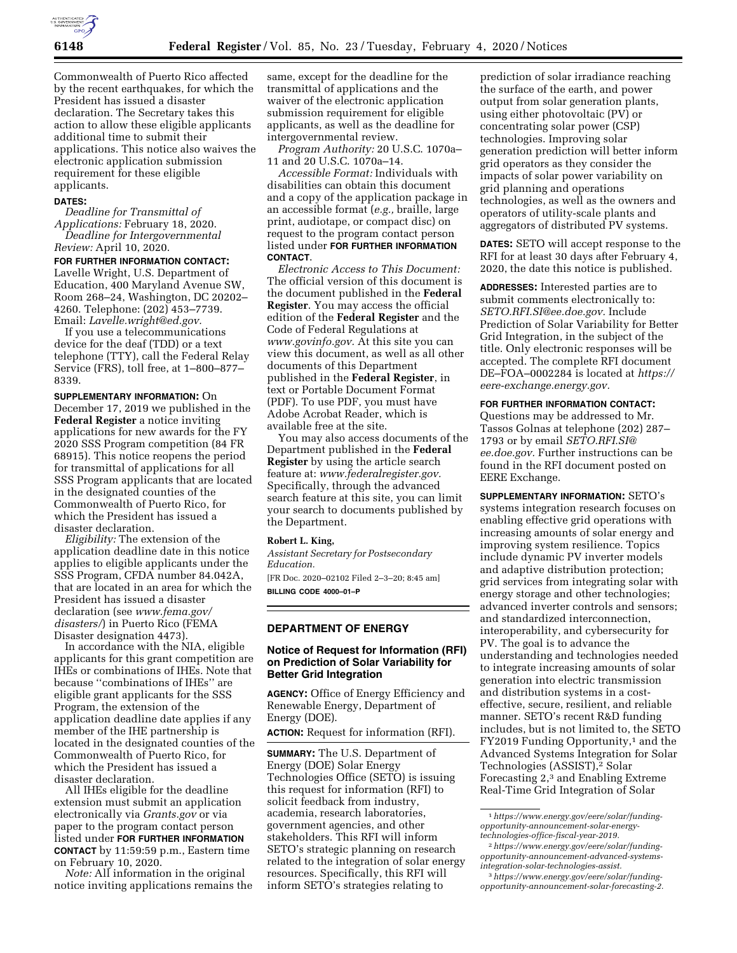

Commonwealth of Puerto Rico affected by the recent earthquakes, for which the President has issued a disaster declaration. The Secretary takes this action to allow these eligible applicants additional time to submit their applications. This notice also waives the electronic application submission requirement for these eligible applicants.

#### **DATES:**

*Deadline for Transmittal of Applications:* February 18, 2020. *Deadline for Intergovernmental Review:* April 10, 2020.

### **FOR FURTHER INFORMATION CONTACT:**

Lavelle Wright, U.S. Department of Education, 400 Maryland Avenue SW, Room 268–24, Washington, DC 20202– 4260. Telephone: (202) 453–7739. Email: *[Lavelle.wright@ed.gov.](mailto:Lavelle.wright@ed.gov)* 

If you use a telecommunications device for the deaf (TDD) or a text telephone (TTY), call the Federal Relay Service (FRS), toll free, at 1–800–877– 8339.

**SUPPLEMENTARY INFORMATION:** On December 17, 2019 we published in the **Federal Register** a notice inviting applications for new awards for the FY 2020 SSS Program competition (84 FR 68915). This notice reopens the period for transmittal of applications for all SSS Program applicants that are located in the designated counties of the Commonwealth of Puerto Rico, for which the President has issued a disaster declaration.

*Eligibility:* The extension of the application deadline date in this notice applies to eligible applicants under the SSS Program, CFDA number 84.042A, that are located in an area for which the President has issued a disaster declaration (see *[www.fema.gov/](http://www.fema.gov/disasters/) [disasters/](http://www.fema.gov/disasters/)*) in Puerto Rico (FEMA Disaster designation 4473).

In accordance with the NIA, eligible applicants for this grant competition are IHEs or combinations of IHEs. Note that because ''combinations of IHEs'' are eligible grant applicants for the SSS Program, the extension of the application deadline date applies if any member of the IHE partnership is located in the designated counties of the Commonwealth of Puerto Rico, for which the President has issued a disaster declaration.

All IHEs eligible for the deadline extension must submit an application electronically via *Grants.gov* or via paper to the program contact person listed under **FOR FURTHER INFORMATION CONTACT** by 11:59:59 p.m., Eastern time on February 10, 2020.

*Note:* All information in the original notice inviting applications remains the

same, except for the deadline for the transmittal of applications and the waiver of the electronic application submission requirement for eligible applicants, as well as the deadline for intergovernmental review.

*Program Authority:* 20 U.S.C. 1070a– 11 and 20 U.S.C. 1070a–14.

*Accessible Format:* Individuals with disabilities can obtain this document and a copy of the application package in an accessible format (*e.g.,* braille, large print, audiotape, or compact disc) on request to the program contact person listed under **FOR FURTHER INFORMATION CONTACT**.

*Electronic Access to This Document:*  The official version of this document is the document published in the **Federal Register**. You may access the official edition of the **Federal Register** and the Code of Federal Regulations at *[www.govinfo.gov.](http://www.govinfo.gov)* At this site you can view this document, as well as all other documents of this Department published in the **Federal Register**, in text or Portable Document Format (PDF). To use PDF, you must have Adobe Acrobat Reader, which is available free at the site.

You may also access documents of the Department published in the **Federal Register** by using the article search feature at: *[www.federalregister.gov.](http://www.federalregister.gov)*  Specifically, through the advanced search feature at this site, you can limit your search to documents published by the Department.

# **Robert L. King,**

*Assistant Secretary for Postsecondary Education.* 

[FR Doc. 2020–02102 Filed 2–3–20; 8:45 am] **BILLING CODE 4000–01–P** 

### **DEPARTMENT OF ENERGY**

### **Notice of Request for Information (RFI) on Prediction of Solar Variability for Better Grid Integration**

**AGENCY:** Office of Energy Efficiency and Renewable Energy, Department of Energy (DOE).

**ACTION:** Request for information (RFI).

**SUMMARY:** The U.S. Department of Energy (DOE) Solar Energy Technologies Office (SETO) is issuing this request for information (RFI) to solicit feedback from industry, academia, research laboratories, government agencies, and other stakeholders. This RFI will inform SETO's strategic planning on research related to the integration of solar energy resources. Specifically, this RFI will inform SETO's strategies relating to

prediction of solar irradiance reaching the surface of the earth, and power output from solar generation plants, using either photovoltaic (PV) or concentrating solar power (CSP) technologies. Improving solar generation prediction will better inform grid operators as they consider the impacts of solar power variability on grid planning and operations technologies, as well as the owners and operators of utility-scale plants and aggregators of distributed PV systems.

**DATES:** SETO will accept response to the RFI for at least 30 days after February 4, 2020, the date this notice is published.

**ADDRESSES:** Interested parties are to submit comments electronically to: *[SETO.RFI.SI@ee.doe.gov.](mailto:SETO.RFI.SI@ee.doe.gov)* Include Prediction of Solar Variability for Better Grid Integration, in the subject of the title. Only electronic responses will be accepted. The complete RFI document DE–FOA–0002284 is located at *[https://](https://eere-exchange.energy.gov) [eere-exchange.energy.gov.](https://eere-exchange.energy.gov)* 

## **FOR FURTHER INFORMATION CONTACT:**

Questions may be addressed to Mr. Tassos Golnas at telephone (202) 287– 1793 or by email *[SETO.RFI.SI@](mailto:SETO.RFI.SI@ee.doe.gov) [ee.doe.gov.](mailto:SETO.RFI.SI@ee.doe.gov)* Further instructions can be found in the RFI document posted on EERE Exchange.

**SUPPLEMENTARY INFORMATION:** SETO's systems integration research focuses on enabling effective grid operations with increasing amounts of solar energy and improving system resilience. Topics include dynamic PV inverter models and adaptive distribution protection; grid services from integrating solar with energy storage and other technologies; advanced inverter controls and sensors; and standardized interconnection, interoperability, and cybersecurity for PV. The goal is to advance the understanding and technologies needed to integrate increasing amounts of solar generation into electric transmission and distribution systems in a costeffective, secure, resilient, and reliable manner. SETO's recent R&D funding includes, but is not limited to, the SETO FY2019 Funding Opportunity,<sup>1</sup> and the Advanced Systems Integration for Solar Technologies (ASSIST),<sup>2</sup> Solar Forecasting 2,3 and Enabling Extreme Real-Time Grid Integration of Solar

<sup>1</sup>*[https://www.energy.gov/eere/solar/funding](https://www.energy.gov/eere/solar/funding-opportunity-announcement-solar-energy-technologies-office-fiscal-year-2019)[opportunity-announcement-solar-energy](https://www.energy.gov/eere/solar/funding-opportunity-announcement-solar-energy-technologies-office-fiscal-year-2019)technologies-office-fiscal-year-2019.* 

<sup>2</sup>*[https://www.energy.gov/eere/solar/funding](https://www.energy.gov/eere/solar/funding-opportunity-announcement-advanced-systems-integration-solar-technologies-assist)[opportunity-announcement-advanced-systems](https://www.energy.gov/eere/solar/funding-opportunity-announcement-advanced-systems-integration-solar-technologies-assist)integration-solar-technologies-assist.* 

<sup>3</sup>*[https://www.energy.gov/eere/solar/funding](https://www.energy.gov/eere/solar/funding-opportunity-announcement-solar-forecasting-2)[opportunity-announcement-solar-forecasting-2.](https://www.energy.gov/eere/solar/funding-opportunity-announcement-solar-forecasting-2)*